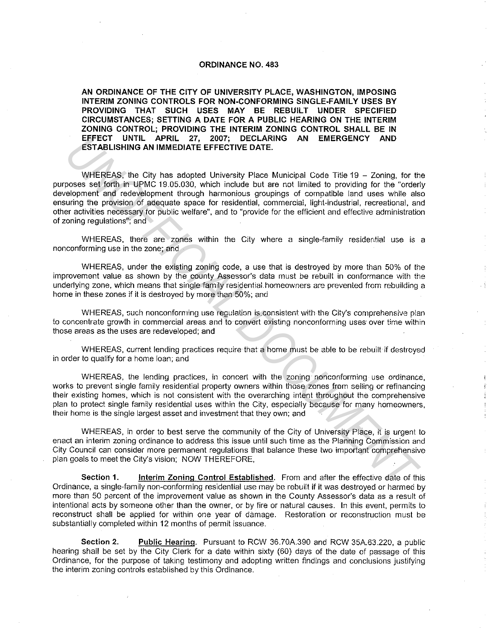## **ORDINANCE NO. 483**

**AN ORDINANCE OF THE CITY OF UNIVERSITY PLACE, WASHINGTON, IMPOSING INTERIM ZONING CONTROLS FOR NON-CONFORMING SINGLE-FAMILY USES BY PROVIDING THAT SUCH USES MAY BE REBUILT UNDER SPECIFIED CIRCUMSTANCES; SETTING A DATE FOR A PUBLIC HEARING ON THE INTERIM ZONING CONTROL; PROVIDING THE INTERIM ZONING CONTROL SHALL BE IN EFFECT UNTIL APRIL 27, 2007; DECLARING AN EMERGENCY AND ESTABLISHING AN IMMEDIATE EFFECTIVE DATE.** 

WHEREAS, the City has adopted University Place Municipal Code Title 19 - Zoning, for the purposes set forth in UPMC 19.05.030, which include but are not limited to providing for the "orderly development and redevelopment through harmonious groupings of compatible land uses while also ensuring the provision of adequate space for residential, commercial, light-industrial, recreational, and other activities necessary for public welfare", and to "provide for the efficient and effective administration of zoning regulations"; and EFFECT UNITL. APRIL 27, 2007; DECLARNG AN EMERGENCY AND<br>
ESTABLISHING AN IMMEDIATE EFFECTIVE DATE.<br>
WHEREAS, the City has adopted University Place Municipal Code Title 19 – Zoning, for the<br>
WHEREAS, the City has adopted Un

WHEREAS, there are zones within the City where a single-family residential use is a nonconforming use in the zone; and

WHEREAS, under the existing zoning code, a use that is destroyed by more than 50% of the improvement value as shown by the county Assessor's data must be rebuilt in conformance with the underlying zone, which means that single family residential homeowners are prevented from rebuilding a home in these zones if it is destroyed by more than 50%; and

WHEREAS, such nonconforming use regulation is consistent with the City's comprehensive plan to concentrate growth in commercial areas. and to convert existing nonconforming uses over time within those areas as the uses are redeveloped; and

WHEREAS, current lending practices require that a home must be able to be rebuilt if destroyed in order to qualify for a home loan; and

WHEREAS, the lending practices, in concert with the zoning nonconforming use ordinance, works to prevent single family residential property owners within those zones from selling or refinancing their existing homes, which is not consistent with the overarching intent throughout the comprehensive plan to protect single family residential uses within the City, especially because for many homeowners, their home is the single largest asset and investment that they own; and

WHEREAS, in order to best serve the community of the City of University Place, it is urgent to enact an interim zoning ordinance to address. this issue until such time as the Planning Commission and City Council can consider more permanent regulations that balance these two important comprehensive plan goals to meet the City's vision; NOW THEREFORE,

**Section 1.** Interim Zoning Control Established. From and after the effective date of this Ordinance, a single-family non-conforming residential use may be rebuilt if it was destroyed or harmed by more than 50 percent of the improvement value as shown in the County Assessor's data as a result of intentional acts by someone other than the owner, or by fire or natural causes. In this event, permits to reconstruct shall be applied for within one year of damage. Restoration or reconstruction must be substantially completed within 12 months of permit issuance.

**Section 2. Public Hearing.** Pursuant to RCW 36.70A.390 and RCW 35A.63.220, a public hearing shall be set by the City Clerk for a date within sixty (60) days of the date of passage of this Ordinance, for the purpose of taking testimony and adopting written findings and conclusions justifying the interim zoning controls established by this Ordinance.